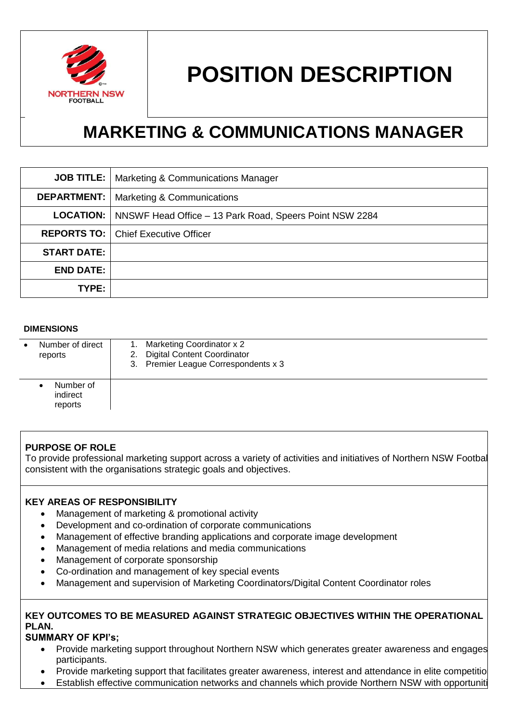

# **POSITION DESCRIPTION**

## **MARKETING & COMMUNICATIONS MANAGER**

|                    | <b>JOB TITLE:</b>   Marketing & Communications Manager                     |
|--------------------|----------------------------------------------------------------------------|
| <b>DEPARTMENT:</b> | <b>Marketing &amp; Communications</b>                                      |
|                    | <b>LOCATION:</b>   NNSWF Head Office – 13 Park Road, Speers Point NSW 2284 |
|                    | <b>REPORTS TO:   Chief Executive Officer</b>                               |
| <b>START DATE:</b> |                                                                            |
| <b>END DATE:</b>   |                                                                            |
| TYPE:              |                                                                            |

#### **DIMENSIONS**

| Number of direct<br>reports      | 1. Marketing Coordinator x 2<br>2. Digital Content Coordinator<br>3. Premier League Correspondents x 3 |
|----------------------------------|--------------------------------------------------------------------------------------------------------|
| Number of<br>indirect<br>reports |                                                                                                        |

### **PURPOSE OF ROLE**

To provide professional marketing support across a variety of activities and initiatives of Northern NSW Football, consistent with the organisations strategic goals and objectives.

#### **KEY AREAS OF RESPONSIBILITY**

- Management of marketing & promotional activity
- Development and co-ordination of corporate communications
- Management of effective branding applications and corporate image development
- Management of media relations and media communications
- Management of corporate sponsorship
- Co-ordination and management of key special events
- Management and supervision of Marketing Coordinators/Digital Content Coordinator roles

#### **KEY OUTCOMES TO BE MEASURED AGAINST STRATEGIC OBJECTIVES WITHIN THE OPERATIONAL PLAN.**

#### **SUMMARY OF KPI's;**

- Provide marketing support throughout Northern NSW which generates greater awareness and engages participants.
- Provide marketing support that facilitates greater awareness, interest and attendance in elite competitio
- Establish effective communication networks and channels which provide Northern NSW with opportuniti